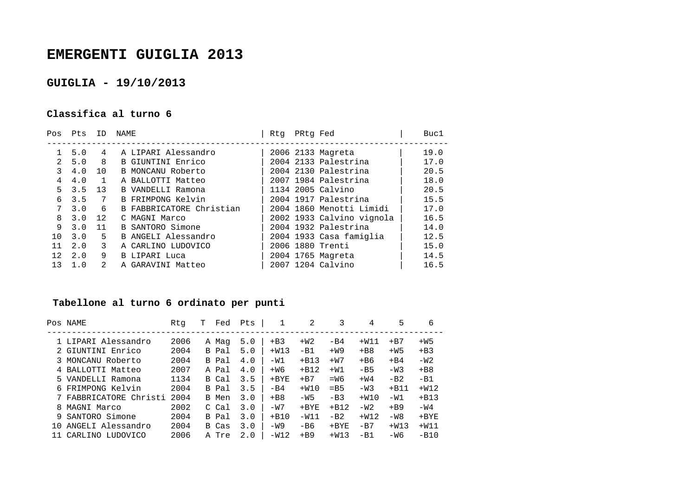## **EMERGENTI GUIGLIA 2013**

## **GUIGLIA - 19/10/2013**

## **Classifica al turno 6**

| Pts | ID | NAME                     | Rtq |  | Buc1                                                                                                                                                                                                                                                                                                                         |
|-----|----|--------------------------|-----|--|------------------------------------------------------------------------------------------------------------------------------------------------------------------------------------------------------------------------------------------------------------------------------------------------------------------------------|
| 5.0 | 4  | A LIPARI Alessandro      |     |  | 19.0                                                                                                                                                                                                                                                                                                                         |
| 5.0 | 8  | B GIUNTINI Enrico        |     |  | 17.0                                                                                                                                                                                                                                                                                                                         |
| 4.0 | 10 | B MONCANU Roberto        |     |  | 20.5                                                                                                                                                                                                                                                                                                                         |
| 4.0 |    | A BALLOTTI Matteo        |     |  | 18.0                                                                                                                                                                                                                                                                                                                         |
| 3.5 | 13 | B VANDELLI Ramona        |     |  | 20.5                                                                                                                                                                                                                                                                                                                         |
| 3.5 | 7  | B FRIMPONG Kelvin        |     |  | 15.5                                                                                                                                                                                                                                                                                                                         |
| 3.0 | 6  | B FABBRICATORE Christian |     |  | 17.0                                                                                                                                                                                                                                                                                                                         |
| 3.0 | 12 | C MAGNI Marco            |     |  | 16.5                                                                                                                                                                                                                                                                                                                         |
| 3.0 | 11 | B SANTORO Simone         |     |  | 14.0                                                                                                                                                                                                                                                                                                                         |
| 3.0 | 5  | B ANGELI Alessandro      |     |  | 12.5                                                                                                                                                                                                                                                                                                                         |
| 2.0 | 3  | A CARLINO LUDOVICO       |     |  | 15.0                                                                                                                                                                                                                                                                                                                         |
| 2.0 | 9  | <b>B LIPARI Luca</b>     |     |  | 14.5                                                                                                                                                                                                                                                                                                                         |
| 1.0 | 2  | A GARAVINI Matteo        |     |  | 16.5                                                                                                                                                                                                                                                                                                                         |
|     |    |                          |     |  | PRtg Fed<br>2006 2133 Magreta<br>2004 2133 Palestrina<br>2004 2130 Palestrina<br>2007 1984 Palestrina<br>1134 2005 Calvino<br>2004 1917 Palestrina<br>2004 1860 Menotti Limidi<br>2002 1933 Calvino vignola<br>2004 1932 Palestrina<br>2004 1933 Casa famiglia<br>2006 1880 Trenti<br>2004 1765 Magreta<br>2007 1204 Calvino |

## **Tabellone al turno 6 ordinato per punti**

|     | Pos NAME             | Rtq  | т | Fed   | Pts | 1            | 2       |         | 4      | 5      | 6       |
|-----|----------------------|------|---|-------|-----|--------------|---------|---------|--------|--------|---------|
|     | 1 LIPARI Alessandro  | 2006 |   | A Mag | 5.0 | $+B3$        | $+W2$   | $-B4$   | $+W11$ | $+ B7$ | $+W5$   |
|     | GIUNTINI Enrico      | 2004 |   | B Pal | 5.0 | $+W13$       | $-B1$   | $+W9$   | $+BB$  | $+W5$  | $+B3$   |
|     | MONCANU Roberto      | 2004 |   | B Pal | 4.0 | $-W1$        | $+B13$  | $+W7$   | $+ B6$ | $+ B4$ | $-W2$   |
|     | BALLOTTI Matteo      | 2007 |   | A Pal | 4.0 | $+W6$        | $+B12$  | $+W1$   | $-B5$  | $-W3$  | $+BB$   |
| 5.  | VANDELLI Ramona      | 1134 |   | B Cal | 3.5 | $+{\rm BYE}$ | $+ B7$  | $=W6$   | $+W4$  | $-B2$  | $-B1$   |
|     | 6 FRIMPONG Kelvin    | 2004 |   | B Pal | 3.5 | $-B4$        | $+W10$  | $=$ B5  | $-W3$  | $+B11$ | $+W12$  |
|     | FABBRICATORE Christi | 2004 |   | B Men | 3.0 | $+BB$        | $-W5$   | $-B3$   | $+W10$ | $-W1$  | $+B13$  |
| 8   | MAGNI Marco          | 2002 |   | C Cal | 3.0 | $-W7$        | $+$ BYE | $+ B12$ | $-W2$  | $+B9$  | $-W4$   |
| 9.  | SANTORO Simone       | 2004 |   | B Pal | 3.0 | $+ B10$      | $-W11$  | $-B2$   | $+W12$ | $-W8$  | $+$ BYE |
| 1 N | ANGELI Alessandro    | 2004 |   | B Cas | 3.0 | $-W9$        | -B6     | $+$ BYE | $-B7$  | $+W13$ | $+W11$  |
|     | CARLINO LUDOVICO     | 2006 |   | A Tre | 2.0 | $-W12$       | $+B9$   | $+W13$  | $-B1$  | -W6    | $-B10$  |